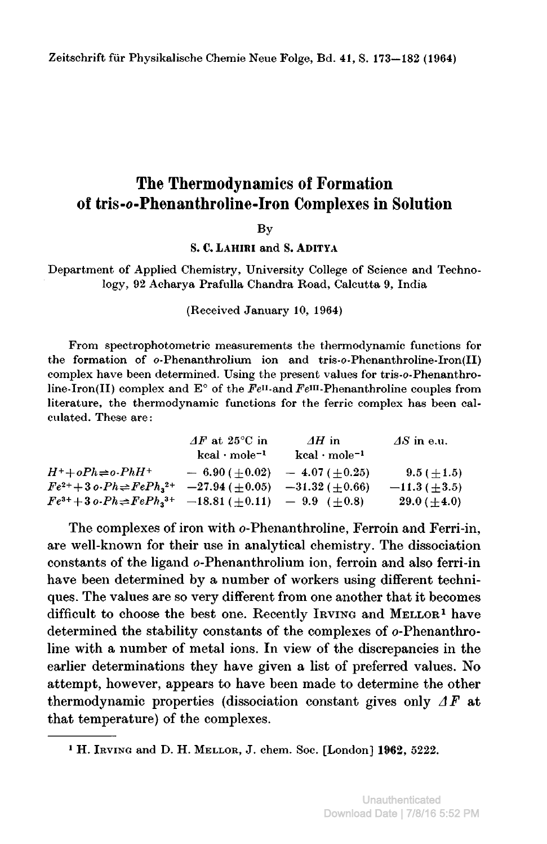# The Thermodynamics of Formation of tris-o-Phenanthroline-Iron Complexes in Solution

**By** 

S. C. lahiri and S. Aditya

Department of Applied Chemistry, University College of Science and Technology, <sup>92</sup> Acharya Prafulla Chandra Road, Calcutta 9, India

(Received January 10, 1964)

From speetrophotometric measurements the thermodynamie functions for the formation of o-Phenanthrolium ion and tris-o-Phenanthroline-Iron(II) complex have been determined. Using the present values for tris-o-Phenanthroline-Iron(II) complex and E° of the  $Fe<sup>II</sup>$ -and  $Fe<sup>III</sup>$ -Phenanthroline couples from literature, the thermodynamie functions for the ferric complex has been calculated. These are:

|                                                                                               | $\Delta F$ at 25 <sup>o</sup> C in | $\Delta H$ in          | $\Delta S$ in e.u. |
|-----------------------------------------------------------------------------------------------|------------------------------------|------------------------|--------------------|
|                                                                                               | $kcal \cdot mole^{-1}$             | $kcal \cdot mole^{-1}$ |                    |
| $H^+ + oPh \rightleftharpoons o\text{-}PhH^+$                                                 | $-6.90(+0.02)$                     | $-4.07(+0.25)$         | $9.5 (+1.5)$       |
| $Fe^{2+}+3$ o- $Ph \rightleftharpoons FePh$ <sub>3</sub> <sup>2+</sup>                        | $-27.94(+0.05)$                    | $-31.32 (+0.66)$       | $-11.3(+3.5)$      |
| $Fe^{3+}+3o\cdot Ph \rightleftharpoons FePh_3^{3+}$ -18.81 ( $\pm 0.11$ ) - 9.9 ( $\pm 0.8$ ) |                                    |                        | $29.0 (+4.0)$      |

The complexes of iron with o-Phenanthroline, Ferroin and Ferri-in, are well-known for their use in analytical chemistry. The dissociation constants of the ligand o-Phenanthrolium ion, ferroin and also ferri-in have been determined by <sup>a</sup> number of workers using different techniques. The values are so very different from one another that it becomes difficult to choose the best one. Recently Irving and MELLOR<sup>1</sup> have determined the stability constants of the complexes of o-Phenanthroline with <sup>a</sup> number of metal ions. In view of the discrepancies in the earlier determinations they have given <sup>a</sup> list of preferred values. No attempt, however, appears to have been made to determine the other thermodynamic properties (dissociation constant gives only  $\Delta F$  at that temperature) of the complexes.

<sup>1</sup> H. Irving and D. H. Mellor, J. chem. Soo. [London] 1962, 5222.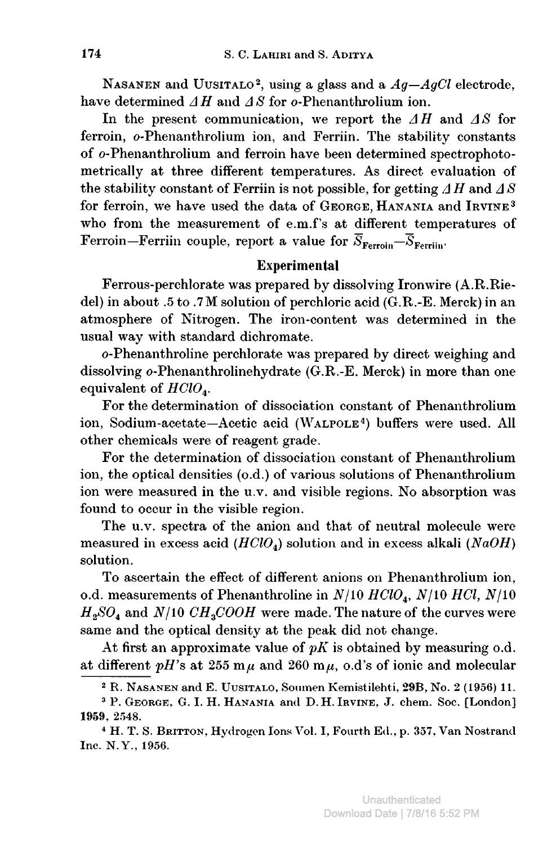NASANEN and UUSITALO<sup>2</sup>, using a glass and a  $Ag - AgCl$  electrode, have determined  $\Delta H$  and  $\Delta S$  for o-Phenanthrolium ion.

In the present communication, we report the  $\Delta H$  and  $\Delta S$  for ferroin, o-Phenanthrolium ion, and Ferriin. The stability constants of o-Phenanthrolium and ferroin have been determined spectrophotometrically at three different temperatures. As direct evaluation of the stability constant of Ferriin is not possible, for getting  $\Delta H$  and  $\Delta S$ for ferroin, we have used the data of GEORGE, HANANIA and IRVINE<sup>3</sup> who from the measurement of e.m.f's at different temperatures of Ferroin—Ferriin couple, report a value for  $\overline{S}_{\text{Ferrain}}$ ,

## Experimental

Ferrous-perchlorate was prepared by dissolving Ironwire (A.R.Riedel) in about .5 to .7M solution of perchloric acid (G.R.-E. Merck) in an atmosphere of Nitrogen. The iron-content was determined in the usual way with standard dichromate.

o-Phenanthroline perchlorate was prepared by direct weighing and dissolving o-Phenanthrolinehydrate (G.R.-E. Merck) in more than one equivalent of  $HClO<sub>4</sub>$ .

For the determination of dissociation constant of Phenanthrolium ion, Sodium-acetate—Acetic acid (Walpole4) buffers were used. All other chemicals were of reagent grade.

For the determination of dissociation constant of Phenanthrolium ion, the optical densities (o.d.) of various solutions of Phenanthrolium ion were measured in the u.v. and visible regions. No absorption was found to occur in the visible region.

The u.v. spectra of the anion and that of neutral molecule were measured in excess acid ( $HClO<sub>4</sub>$ ) solution and in excess alkali (NaOH) solution.

To ascertain the effect of different anions on Phenanthrolium ion, o.d. measurements of Phenanthroline in  $N/10$  HClO<sub>4</sub>,  $N/10$  HCl,  $N/10$  $H_2SO_4$  and  $N/10$   $CH_3COOH$  were made. The nature of the curves were same and the optical density at the peak did not change.

At first an approximate value of  $pK$  is obtained by measuring o.d. at different pH's at 255 m $\mu$  and 260 m $\mu$ , o.d's of ionic and molecular

<sup>4</sup> H. T. S. BRITTON, Hydrogen Ions Vol. I, Fourth Ed., p. 357, Van Nostrand Inc. N.Y., 1956.

<sup>2</sup> R. Nasanen and E. Uusitaxo, Soumen Kemistilehti, 29B, No. <sup>2</sup> (1956) 11.

<sup>&</sup>lt;sup>3</sup> P. GEORGE, G. I. H. HANANIA and D. H. IRVINE, J. chem. Soc. [London] 1959, 2548.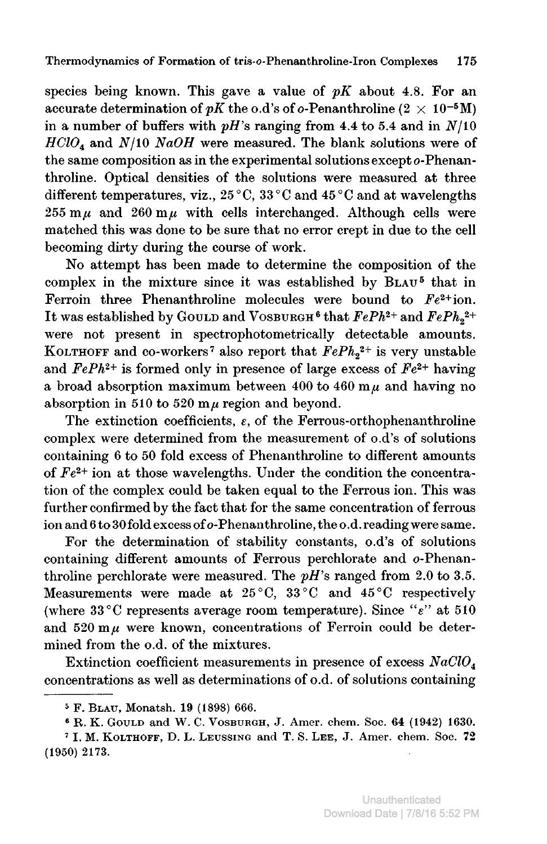species being known. This gave a value of  $pK$  about 4.8. For an accurate determination of pK the o.d's of o-Penanthroline (2  $\times$  10<sup>-5</sup>M) in a number of buffers with  $pH$ 's ranging from 4.4 to 5.4 and in  $N/10$  $HClO<sub>4</sub>$  and  $N/10$  NaOH were measured. The blank solutions were of the same composition as in the experimental solutions except o-Phenanthroline. Optical densities of the solutions were measured at three different temperatures, viz., 25°C, 33°C and 45°C and at wavelengths  $255 \text{ m}\mu$  and  $260 \text{ m}\mu$  with cells interchanged. Although cells were matched this was done to be sure that no error crept in due to the cell becoming dirty during the course of work.

No attempt has been made to determine the composition of the complex in the mixture since it was established by BLAU<sup>5</sup> that in Ferroin three Phenanthroline molecules were bound to  $Fe^{2+}$ ion. It was established by GOULD and VOSBURGH<sup>6</sup> that  $FePh^{2+}$  and  $FePh_2^{2+}$ were not present in spectrophotometrically detectable amounts. KOLTHOFF and co-workers<sup>7</sup> also report that  $FePh<sub>2</sub><sup>2+</sup>$  is very unstable and  $FePh^{2+}$  is formed only in presence of large excess of  $Fe^{2+}$  having a broad absorption maximum between 400 to 460 m $\mu$  and having no absorption in 510 to 520  $m\mu$  region and beyond.

The extinction coefficients,  $\varepsilon$ , of the Ferrous-orthophenanthroline complex were determined from the measurement of o.d's of solutions containing <sup>6</sup> to <sup>50</sup> fold excess of Phenanthroline to different amounts of  $Fe<sup>2+</sup>$  ion at those wavelengths. Under the condition the concentration of the complex could be taken equal to the Ferrous ion. This was further confirmed by the fact that for the same concentration of ferrous ion and 6 to 30 fold excess of o-Phenanthroline, the o.d. reading were same.

For the determination of stability constants, o.d's of solutions containing different amounts of Ferrous perchlorate and o-Phenanthroline perchlorate were measured. The  $pH$ 's ranged from 2.0 to 3.5. Measurements were made at 25°C, 33°C and 45°C respectively (where 33 °C represents average room temperature). Since " $\varepsilon$ " at 510 and  $520 \text{ m}\mu$  were known, concentrations of Ferroin could be determined from the o.d. of the mixtures.

Extinction coefficient measurements in presence of excess  $NaClO<sub>4</sub>$ concentrations as well as determinations of o.d. of solutions containing

<sup>ä</sup> F. Blau, Monatsh. 19 (1898) 666.

 $6$  R. K. GOULD and W. C. VOSBURGH, J. Amer. chem. Soc.  $64$  (1942) 1630.

 $7$  I. M. GOULD and W. C. VOSBURGH, 31. Amer. ehem. Soc. 04  $(1942)$  1030.<br>7 I. M. KOLTHOFF, D. L. LEUSSING and T. S. LEE, J. Amer. chem. Soc. 72 (1950) 2173.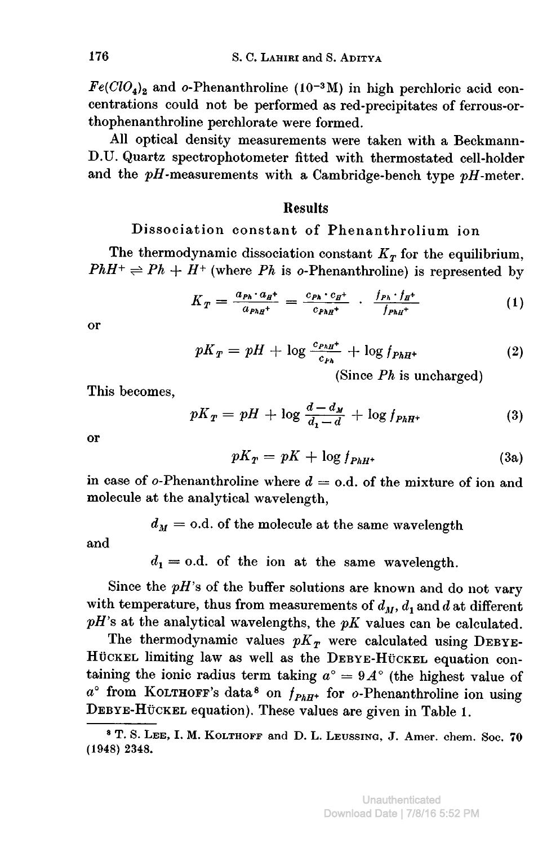$Fe(CIO<sub>4</sub>)<sub>2</sub>$  and o-Phenanthroline (10<sup>-3</sup>M) in high perchloric acid concentrations could not be performed as red-precipitates of ferrous-orthophenanthroline perchlorate were formed.

All optical density measurements were taken with <sup>a</sup> Beckmann-D.U. Quartz spectrophotometer fitted with thermostated cell-holder and the  $pH$ -measurements with a Cambridge-bench type  $pH$ -meter.

### Results

## Dissociation constant of Phenanthrolium ion

The thermodynamic dissociation constant  $K_T$  for the equilibrium,  $PhH^+ \rightleftharpoons Ph + H^+$  (where Ph is o-Phenanthroline) is represented by

$$
K_T = \frac{a_{Ph} \cdot a_{H}^+}{a_{PhH}^+} = \frac{c_{Ph} \cdot c_{H}^+}{c_{PhH}^+} \cdot \frac{f_{Ph} \cdot f_{H}^+}{f_{PhH}^+}
$$
(1)

or

$$
pK_T = pH + \log \frac{c_{PhH^+}}{c_{Ph}} + \log f_{PhH^+}
$$
 (2)

(Since  $Ph$  is uncharged)

This becomes,

$$
pK_T = pH + \log \frac{d - d_M}{d_1 - d} + \log f_{PhH^+}
$$
\n(3)

or

$$
pK_T = pK + \log f_{PhH^+}
$$
 (3a)

in case of  $o$ -Phenanthroline where  $d = o.d.$  of the mixture of ion and molecule at the analytical wavelength,

 $d_M =$  o.d. of the molecule at the same wavelength

and

 $d_1 = 0.d.$  of the ion at the same wavelength.

Since the  $pH$ 's of the buffer solutions are known and do not vary with temperature, thus from measurements of  $d_M$ ,  $d_1$  and  $d$  at different  $pH$ 's at the analytical wavelengths, the  $pK$  values can be calculated.

The thermodynamic values  $pK<sub>T</sub>$  were calculated using DEBYE-HÜCKEL limiting law as well as the DEBYE-HÜCKEL equation containing the ionic radius term taking  $a^{\circ} = 9A^{\circ}$  (the highest value of  $a^{\circ}$  from KOLTHOFF's data<sup>8</sup> on  $f_{PhH^+}$  for  $o$ -Phenanthroline ion using DEBYE-Hückel equation). These values are given in Table 1.

<sup>8</sup> T. S. Lee, I. M. Kolthoff and D. L. Leussing, J. Amer. ehem. Soc. <sup>70</sup> (1948) 2348.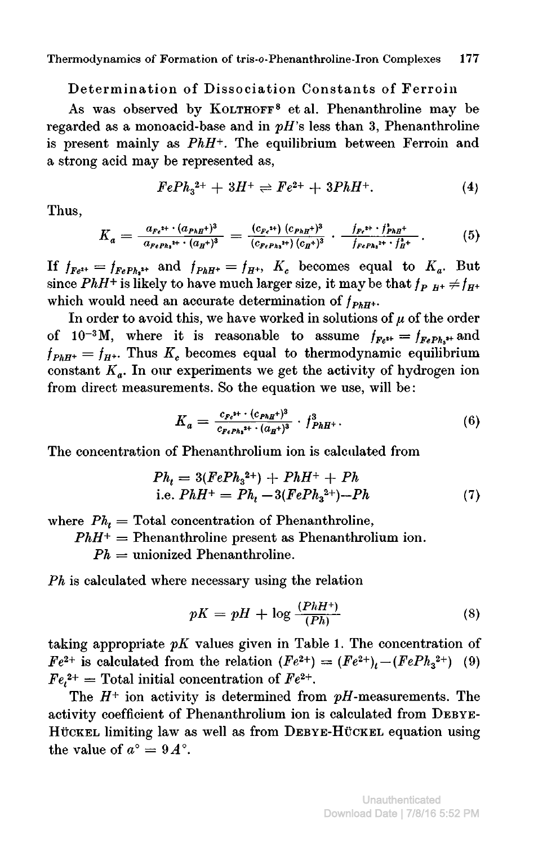#### Determination of Dissociation Constants of Ferroin

As was observed by KOLTHOFF<sup>8</sup> et al. Phenanthroline may be regarded as a monoacid-base and in  $pH$ 's less than 3, Phenanthroline is present mainly as  $PhH^+$ . The equilibrium between Ferroin and <sup>a</sup> strong acid may be represented as,

$$
FePh_3^{2+} + 3H^+ \rightleftharpoons Fe^{2+} + 3PhH^+.
$$
 (4)

Thus,

$$
K_a = \frac{a_{Fe^{2+}} \cdot (a_{PhH}^{\dagger})^3}{a_{FePh_3^{2+}} \cdot (a_H^{\dagger})^3} = \frac{(c_{Fe^{2+}}) (c_{PhH}^{\dagger})^3}{(c_{FePh_3^{2+}}) (c_H^{\dagger})^3} \cdot \frac{f_{Fe^{2+}} \cdot f_{PhH}^3}{f_{FePh_3^{2+}} \cdot f_H^3} \,. \tag{5}
$$

If  $f_{Fe^{**}} = f_{FePh,*}$  and  $f_{PhH^*} = f_{H^*}$ ,  $K_c$  becomes equal to  $K_a$ . But since PhH<sup>+</sup> is likely to have much larger size, it may be that  $f_{P^-H^+} \neq f_{H^+}$ which would need an accurate determination of  $f_{PhH^+}$ .

In order to avoid this, we have worked in solutions of  $\mu$  of the order of  $10^{-3}$ M, where it is reasonable to assume  $f_{Fe^{t+}} = f_{FePh}$ , and  $f_{PhH^+} = f_{H^+}$ . Thus  $K_c$  becomes equal to thermodynamic equilibrium constant  $K_a$ . In our experiments we get the activity of hydrogen ion from direct measurements. So the equation we use, will be :

$$
K_a = \frac{c_{Fe^{3+}} \cdot (c_{PhH} +)^3}{c_{FePh_3^{3+}} \cdot (a_H +)^3} \cdot f_{PhH^+}^3. \tag{6}
$$

The concentration of Phenanthrolium ion is calculated from

$$
Ph_t = 3(FePh_3^{2+}) + PhH^+ + Ph
$$
  
i.e.  $PhH^+ = Ph_t - 3(FePh_3^{2+}) - Ph$  (7)

where  $Ph_t = \text{Total concentration of Phenanthroline}$ ,

 $PhH^+$  = Phenanthroline present as Phenanthrolium ion.

 $Ph =$  unionized Phenanthroline.

Ph is calculated where necessary using the relation

$$
pK = pH + \log \frac{(PhH^+)}{(Ph)}
$$
\n(8)

taking appropriate  $pK$  values given in Table 1. The concentration of  $Fe^{2+}$  is calculated from the relation  $(Fe^{2+}) = (Fe^{2+})_t-(FePh_3^{2+})$  (9)  $Fe<sub>1</sub><sup>2+</sup>$  = Total initial concentration of  $Fe<sup>2+</sup>$ .

The  $H^+$  ion activity is determined from  $pH$ -measurements. The activity coefficient of Phenanthrolium ion is calculated from Debye-HÜCKEL limiting law as well as from DEBYE-HÜCKEL equation using the value of  $a^{\circ} = 9A^{\circ}$ .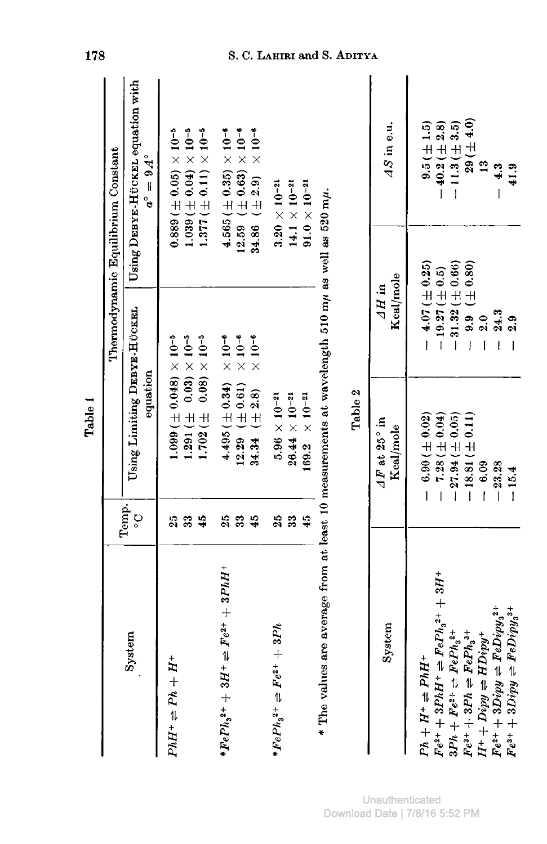|                                                                                                                                                                                                                                                                                                                         |                       | Table 1                                                                                                                                       |                                                                                                                  |                                                                                                                                                                                                                                                                                                                                                                                                             |
|-------------------------------------------------------------------------------------------------------------------------------------------------------------------------------------------------------------------------------------------------------------------------------------------------------------------------|-----------------------|-----------------------------------------------------------------------------------------------------------------------------------------------|------------------------------------------------------------------------------------------------------------------|-------------------------------------------------------------------------------------------------------------------------------------------------------------------------------------------------------------------------------------------------------------------------------------------------------------------------------------------------------------------------------------------------------------|
|                                                                                                                                                                                                                                                                                                                         |                       |                                                                                                                                               |                                                                                                                  | Thermodynamic Equilibrium Constant                                                                                                                                                                                                                                                                                                                                                                          |
| System                                                                                                                                                                                                                                                                                                                  | Temp.<br>$\mathsf{S}$ | Using Limiting DEBYE-HÜCKEL<br>equation                                                                                                       |                                                                                                                  | Using DEBYE-HÜCKEL equation with<br>$a^{\circ} = 9A^{\circ}$                                                                                                                                                                                                                                                                                                                                                |
| $PhH^+\rightleftharpoons Ph + H^+$                                                                                                                                                                                                                                                                                      | 25<br>33<br>45        | $\frac{1}{2}$ 0.00 $\pm$ 0.00 $\pm$<br>$1.702 \ (\pm 0.08) \times 10^{-5}$<br>$\frac{1}{2}$ (0.000) + $\frac{1}{2}$ (0.000)                   |                                                                                                                  | $\frac{10}{100}$ ( $\frac{10}{100}$ ) ( $\frac{4}{100}$ ) ( $\frac{4}{100}$ ) ( $\frac{4}{100}$ ) ( $\frac{4}{100}$ ) ( $\frac{4}{100}$ ) ( $\frac{4}{100}$ ) ( $\frac{4}{100}$ ) ( $\frac{4}{100}$ ) ( $\frac{4}{100}$ ) ( $\frac{4}{100}$ ) ( $\frac{4}{100}$ ) ( $\frac{4}{100}$ ) ( $\frac{4}{100}$ ) ( $\frac{4}{100}$<br>$1.377 \, (\pm 0.11) \times 10^{-5}$<br>$0.889 \, (\pm 0.05) \times 10^{-5}$ |
| $*FePh32+ + 3H+ \rightleftharpoons Fe2+ + 3PhH+$                                                                                                                                                                                                                                                                        | 25<br>45<br>33        | $12.29 \ (\pm 0.61)$<br>$4.495 (\pm 0.34)$<br>34.34 $(\pm 2.8)$                                                                               | $\times$ 10 <sup>-6</sup><br>$\times 10^{-6}$<br>$\times 10^{-6}$                                                | $12.59$ ( $\pm$ 0.63) $\times$ 10 <sup>-6</sup><br>$\times 10^{-6}$<br>$4.565 (\pm 0.35) \times 10^{-6}$<br>34.86 $(\pm 2.9)$                                                                                                                                                                                                                                                                               |
| $*FePh32+ \rightleftharpoons Fe2+ + 3Ph4$                                                                                                                                                                                                                                                                               | 25<br>33<br>45        | $5.96 \times 10^{-21}$<br>$26.44 \times 10^{-21}$<br>$169.2 \times 10^{-21}$                                                                  |                                                                                                                  | $3.20 \times 10^{-21}$<br>$14.1 \times 10^{-21}$<br>$91.0 \times 10^{-21}$                                                                                                                                                                                                                                                                                                                                  |
| * The values are average from at least 10 measurements at wavelength 510 m $\mu$ as well as 520 m $\mu$ .                                                                                                                                                                                                               |                       | Table 2                                                                                                                                       |                                                                                                                  |                                                                                                                                                                                                                                                                                                                                                                                                             |
| System                                                                                                                                                                                                                                                                                                                  |                       | $\Delta F$ at 25° in<br>Kcal/mole                                                                                                             | Kcal/mole<br>$4H$ in                                                                                             | AS in e.u.                                                                                                                                                                                                                                                                                                                                                                                                  |
| $Fe^{2+} + 3PhH^{+} \rightleftharpoons FePh3^{2+} + 3H^{+}$<br>$Fe^{2+} + 3Dipy = FeDipy_3^{2+}$<br>$Fe^{3+} + 3Dipy \rightleftharpoons FeDipy_3^{3+}$<br>$3Ph + Fe^{2+} \rightleftharpoons FePh_3^{2+}$<br>$Fe^{3+} + 3Ph = FePh33+$<br>$H^+ + Dipy \rightleftharpoons HDipy^+$<br>$Ph + H^+ \rightleftharpoons PhH^+$ |                       | $-6.90 \ (\pm 0.02)$<br>$7.28 (\pm 0.04)$<br>$-27.94 \ (\pm 0.05)$<br>$-18.81 (\pm 0.11)$<br>$-23.28$<br>$-6.09$<br>$-15.4$<br>$\overline{1}$ | $-31.32 (\pm 0.66)$<br>$-4.07 (\pm 0.25)$<br>$9.9 \ (\pm 0.80)$<br>$-19.27 (\pm 0.5)$<br>24.3<br>2.0<br>2.9<br>Ï | $29(+4.0)$<br>$-11.3 (\pm 3.5)$<br>$-40.2 (\pm 2.8)$<br>$9.5 (\pm 1.5)$<br>$\frac{3}{1}$<br>4.3<br>41.9                                                                                                                                                                                                                                                                                                     |

## 178 S. C. LAHIRI and S. ADITYA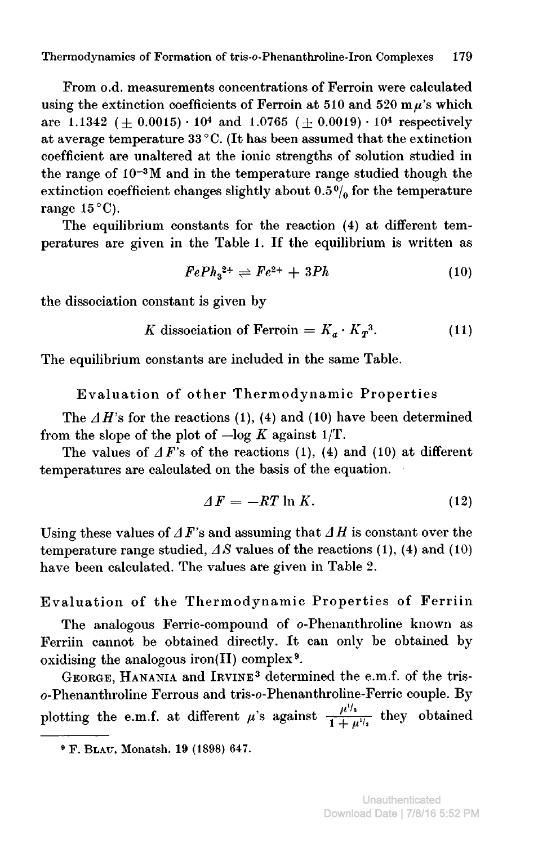From o.d. measurements concentrations of Ferroin were calculated using the extinction coefficients of Ferroin at 510 and 520 m $\mu$ 's which are 1.1342 ( $\pm$  0.0015) · 10<sup>4</sup> and 1.0765 ( $\pm$  0.0019) · 10<sup>4</sup> respectively at average temperature <sup>33</sup> °C. (It has been assumed that the extinction coefficient are unaltered at the ionic strengths of solution studied in the range of 10~3M and in the temperature range studied though the extinction coefficient changes slightly about  $0.5\%$  for the temperature range  $15^{\circ}$ C).

The equilibrium constants for the reaction (4) at different temperatures are given in the Table 1. If the equilibrium is written as

$$
FePh_3^{2+} \rightleftharpoons Fe^{2+} + 3Ph \tag{10}
$$

the dissociation constant is given by

K dissociation of Ferroin = 
$$
K_a \cdot K_T^3
$$
. (11)

The equilibrium constants are included in the same Table.

Evaluation of other Thermodynamic Properties

The  $\Delta H$ 's for the reactions (1), (4) and (10) have been determined from the slope of the plot of  $-\log K$  against 1/T.

The values of  $\Delta F$ 's of the reactions (1), (4) and (10) at different temperatures are calculated on the basis of the equation.

$$
\Delta F = -RT \ln K. \tag{12}
$$

Using these values of  $\Delta F$ 's and assuming that  $\Delta H$  is constant over the temperature range studied,  $\Delta S$  values of the reactions (1), (4) and (10) have been calculated. The values are given in Table 2.

Evaluation of the Thermodynamic Properties of Ferriin

The analogous Ferric-compound of o-Phenanthroline known as Ferriin cannot be obtained directly. It can only be obtained by oxidising the analogous iron(II) complex<sup>9</sup>.

George, Hanania and Irvine3 determined the e.m.f. of the triso-Phenanthroline Ferrous and tris-o-Phenanthroline-Ferric couple. By plotting the e.m.f. at different  $\mu$ 's against  $\frac{\mu^{1/2}}{1 + \mu^{1/2}}$  they obtained

<sup>9</sup> F. Blau, Monatsh. 19 (1898) 647.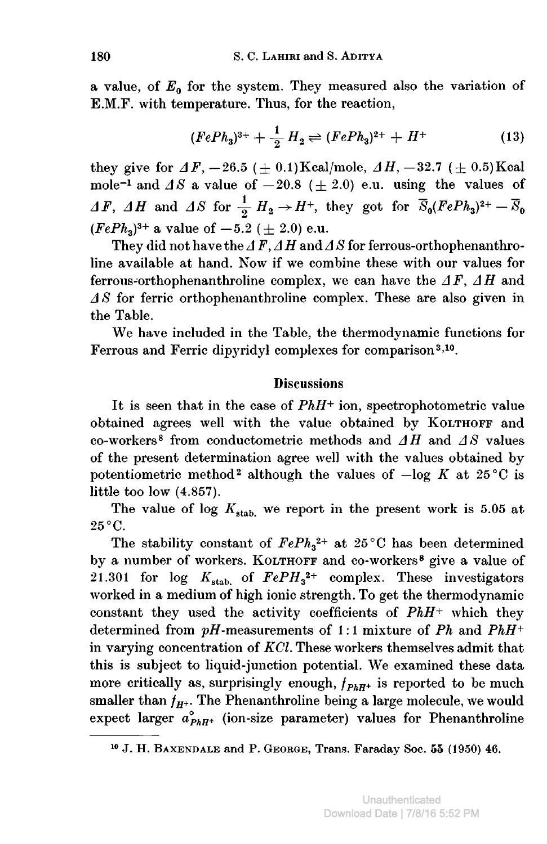a value, of  $E_0$  for the system. They measured also the variation of E.M.F. with temperature. Thus, for the reaction,

(*FePh*<sub>3</sub>)<sup>3+</sup> + 
$$
\frac{1}{2}
$$
 *H*<sub>2</sub>  $\rightleftharpoons$  (*FePh*<sub>3</sub>)<sup>2+</sup> + *H*<sup>+</sup> (13)

they give for  $\Delta F$ ,  $-26.5$  ( $\pm$  0.1) Kcal/mole,  $\Delta H$ ,  $-32.7$  ( $\pm$  0.5) Kcal mole<sup>-1</sup> and  $\Delta S$  a value of  $-20.8$  ( $\pm$  2.0) e.u. using the values of  $\Delta F$ ,  $\Delta H$  and  $\Delta S$  for  $\frac{1}{2}H_2\rightarrow H^+$ , they got for  $\overline{S}_0(FePh_3)^{2+} - \overline{S}_0$  $(FePh_3)^{3+}$  a value of  $-5.2$  ( $\pm$  2.0) e.u.

They did not have the  $\Delta F$ ,  $\Delta H$  and  $\Delta S$  for ferrous-orthophenanthroline available at hand. Now if we combine these with our values for ferrous-orthophenanthroline complex, we can have the  $\Delta F$ ,  $\Delta H$  and  $\Delta S$  for ferric orthophenanthroline complex. These are also given in the Table.

We have included in the Table, the thermodynamic functions for Ferrous and Ferric dipyridyl complexes for comparison<sup>3,10</sup>.

### **Discussions**

It is seen that in the case of  $PhH^+$  ion, spectrophotometric value obtained agrees well with the value obtained by KOLTHOFF and co-workers<sup>8</sup> from conductometric methods and  $\Delta H$  and  $\Delta S$  values of the present determination agree well with the values obtained by potentiometric method<sup>2</sup> although the values of  $-\log K$  at 25°C is little too low (4.857).

The value of log  $K_{\text{stab}}$  we report in the present work is 5.05 at 25°C.

The stability constant of  $FePh<sub>3</sub><sup>2+</sup>$  at 25°C has been determined by a number of workers. KOLTHOFF and co-workers<sup>8</sup> give a value of 21.301 for log  $K_{\text{stab}}$  of  $FePH_3^{2+}$  complex. These investigators worked in <sup>a</sup> medium of high ionic strength. To get the thermodynamic constant they used the activity coefficients of  $PhH^+$  which they determined from  $pH$ -measurements of 1:1 mixture of Ph and PhH+ in varying concentration of KCl. These workers themselves admit that this is subject to liquid-junction potential. We examined these data more critically as, surprisingly enough,  $f_{PhH+}$  is reported to be much smaller than  $f_{H^+}$ . The Phenanthroline being a large molecule, we would expect larger  $a_{PhH^+}^{\circ}$  (ion-size parameter) values for Phenanthroline

J. H. Baxendale and P. George, Trans. Faraday Soc. <sup>55</sup> (1950) 46.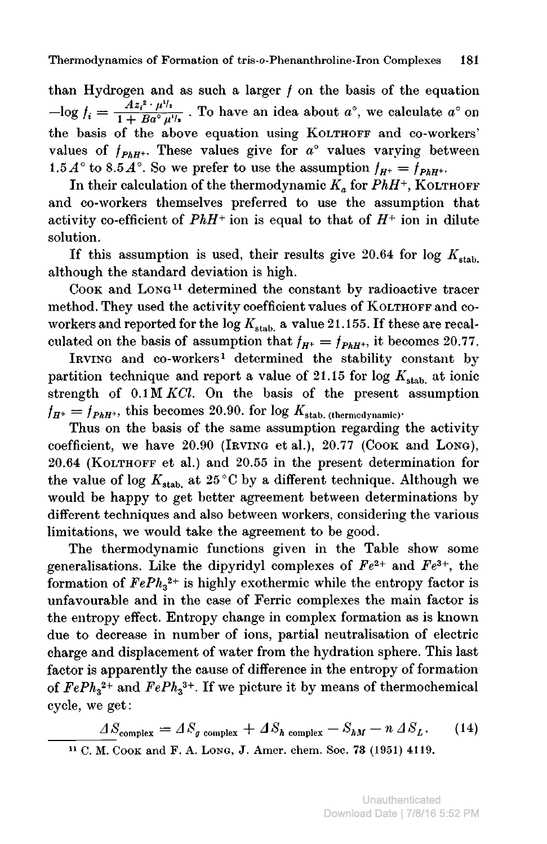than Hydrogen and as such a larger  $f$  on the basis of the equation  $-\text{log } f_i = \frac{Az_i^2 + \mu^{1/2}}{1 + Ba^{\circ}\mu^{1/2}}$  . To have an idea about  $a^{\circ}$ , we calculate  $a^{\circ}$  on the basis of the above equation using KOLTHOFF and co-workers' values of  $f_{PhH^{++}}$ . These values give for  $a^{\circ}$  values varying between 1.5 $A^{\circ}$  to 8.5 $A^{\circ}$ . So we prefer to use the assumption  $f_{H^{+}} = \overline{f}_{PhH^{+}}$ .

In their calculation of the thermodynamic  $K_a$  for  $PhH^+$ , KOLTHOFF and co-workers themselves preferred to use the assumption that activity co-efficient of  $PhH^+$  ion is equal to that of  $H^+$  ion in dilute solution.

If this assumption is used, their results give 20.64 for log  $K_{\text{stab}}$ although the standard deviation is high.

Cook and Long11 determined the constant by radioactive tracer method. They used the activity coefficient values of KOLTHOFF and coworkers and reported for the log  $K_{stab}$  a value 21.155. If these are recalculated on the basis of assumption that  $f_{H^+} = f_{PhH^+}$ , it becomes 20.77.

Irving and co-workers1 determined the stability constant by partition technique and report a value of 21.15 for log  $K_{\text{stab}}$  at ionic strength of  $0.1 M KCl$ . On the basis of the present assumption  $f_{H^+} = f_{PhH^+}$ , this becomes 20.90. for log  $K_{stab}$ , (thermodynamic)-

Thus on the basis of the same assumption regarding the activity coefficient, we have 20.90 (Irving et al.), 20.77 (Cook and Long), 20.64 (Kolthoff et al.) and 20.55 in the present determination for the value of log  $K_{stab}$  at 25 °C by a different technique. Although we would be happy to get better agreement between determinations by different techniques and also between workers, considering the various limitations, we would take the agreement to be good.

The thermodynamic functions given in the Table show some generalisations. Like the dipyridyl complexes of  $Fe^{2+}$  and  $Fe^{3+}$ , the formation of  $FePh<sub>3</sub><sup>2+</sup>$  is highly exothermic while the entropy factor is unfavourable and in the case of Ferric complexes the main factor is the entropy effect. Entropy change in complex formation as is known due to decrease in number of ions, partial neutralisation of electric charge and displacement of water from the hydration sphere. This last factor is apparently the cause of difference in the entropy of formation of  $FePh<sub>3</sub><sup>2+</sup>$  and  $FePh<sub>3</sub><sup>3+</sup>$ . If we picture it by means of thermochemical cycle, we get:

 $S_{\text{complex}} = \Delta S_g$  complex  $+ \Delta S_h$  complex  $- S_{hM} - n \Delta S_L$ . (14) <sup>11</sup> C. M. Cook and F. A. Long, J. Amer. ehem. Soc. 73 (1951) 4119.